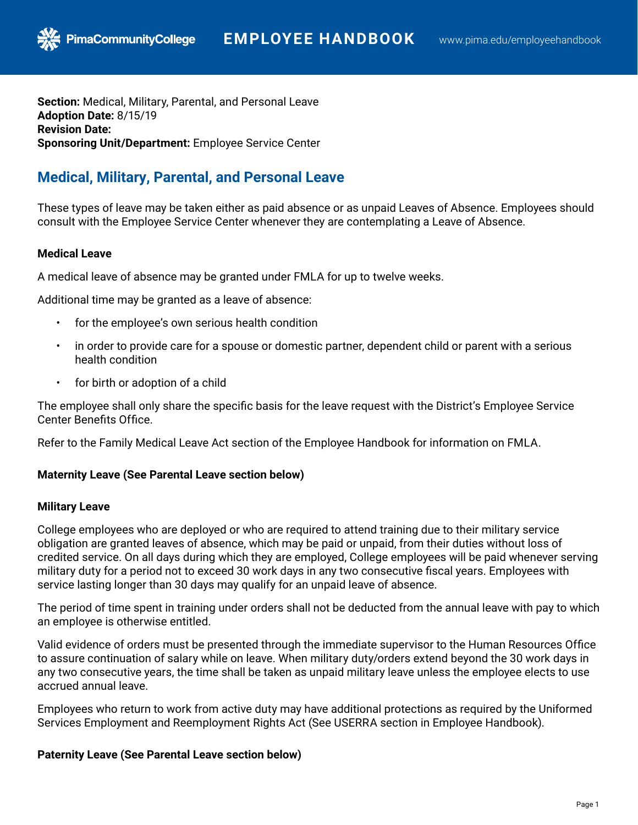**Section:** Medical, Military, Parental, and Personal Leave **Adoption Date:** 8/15/19 **Revision Date: Sponsoring Unit/Department:** Employee Service Center

**PimaCommunityCollege** 

# **Medical, Military, Parental, and Personal Leave**

These types of leave may be taken either as paid absence or as unpaid Leaves of Absence. Employees should consult with the Employee Service Center whenever they are contemplating a Leave of Absence.

# **Medical Leave**

A medical leave of absence may be granted under FMLA for up to twelve weeks.

Additional time may be granted as a leave of absence:

- for the employee's own serious health condition
- in order to provide care for a spouse or domestic partner, dependent child or parent with a serious health condition
- for birth or adoption of a child

The employee shall only share the specific basis for the leave request with the District's Employee Service Center Benefits Office.

Refer to the Family Medical Leave Act section of the Employee Handbook for information on FMLA.

## **Maternity Leave (See Parental Leave section below)**

## **Military Leave**

College employees who are deployed or who are required to attend training due to their military service obligation are granted leaves of absence, which may be paid or unpaid, from their duties without loss of credited service. On all days during which they are employed, College employees will be paid whenever serving military duty for a period not to exceed 30 work days in any two consecutive fiscal years. Employees with service lasting longer than 30 days may qualify for an unpaid leave of absence.

The period of time spent in training under orders shall not be deducted from the annual leave with pay to which an employee is otherwise entitled.

Valid evidence of orders must be presented through the immediate supervisor to the Human Resources Office to assure continuation of salary while on leave. When military duty/orders extend beyond the 30 work days in any two consecutive years, the time shall be taken as unpaid military leave unless the employee elects to use accrued annual leave.

Employees who return to work from active duty may have additional protections as required by the Uniformed Services Employment and Reemployment Rights Act (See USERRA section in Employee Handbook).

## **Paternity Leave (See Parental Leave section below)**